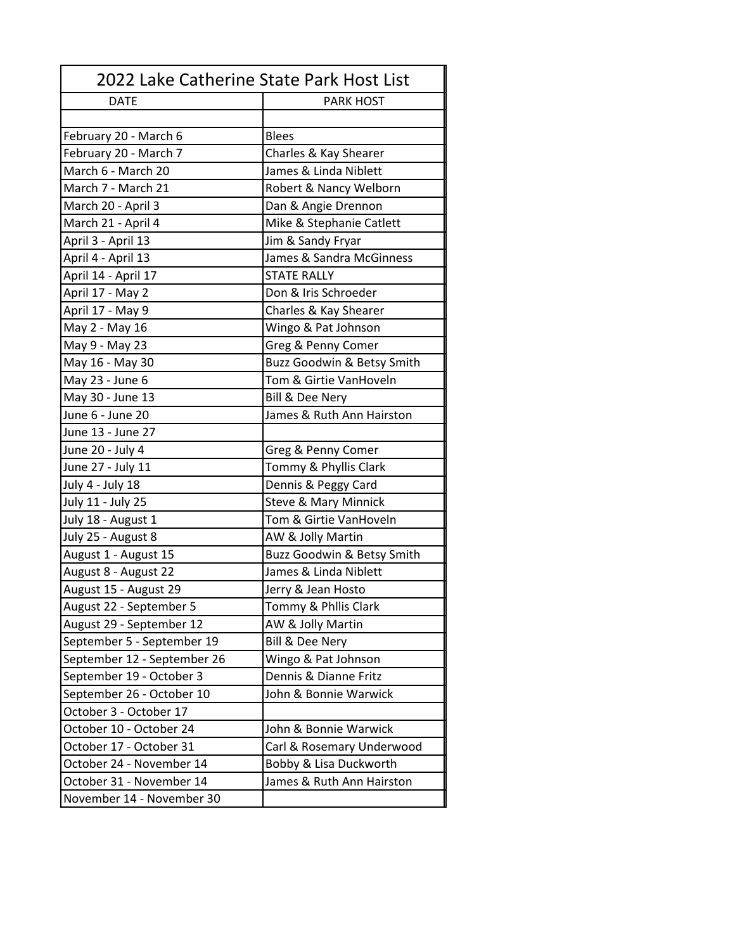| 2022 Lake Catherine State Park Host List |                                 |
|------------------------------------------|---------------------------------|
| <b>DATE</b>                              | <b>PARK HOST</b>                |
|                                          |                                 |
| February 20 - March 6                    | <b>Blees</b>                    |
| February 20 - March 7                    | Charles & Kay Shearer           |
| March 6 - March 20                       | James & Linda Niblett           |
| March 7 - March 21                       | Robert & Nancy Welborn          |
| March 20 - April 3                       | Dan & Angie Drennon             |
| March 21 - April 4                       | Mike & Stephanie Catlett        |
| April 3 - April 13                       | Jim & Sandy Fryar               |
| April 4 - April 13                       | James & Sandra McGinness        |
| April 14 - April 17                      | <b>STATE RALLY</b>              |
| April 17 - May 2                         | Don & Iris Schroeder            |
| April 17 - May 9                         | Charles & Kay Shearer           |
| May 2 - May 16                           | Wingo & Pat Johnson             |
| May 9 - May 23                           | Greg & Penny Comer              |
| May 16 - May 30                          | Buzz Goodwin & Betsy Smith      |
| May 23 - June 6                          | Tom & Girtie VanHoveln          |
| May 30 - June 13                         | Bill & Dee Nery                 |
| June 6 - June 20                         | James & Ruth Ann Hairston       |
| June 13 - June 27                        |                                 |
| June 20 - July 4                         | Greg & Penny Comer              |
| June 27 - July 11                        | Tommy & Phyllis Clark           |
| July 4 - July 18                         | Dennis & Peggy Card             |
| July 11 - July 25                        | <b>Steve &amp; Mary Minnick</b> |
| July 18 - August 1                       | Tom & Girtie VanHoveln          |
| July 25 - August 8                       | AW & Jolly Martin               |
| August 1 - August 15                     | Buzz Goodwin & Betsy Smith      |
| August 8 - August 22                     | James & Linda Niblett           |
| August 15 - August 29                    | Jerry & Jean Hosto              |
| August 22 - September 5                  | Tommy & Philis Clark            |
| August 29 - September 12                 | AW & Jolly Martin               |
| September 5 - September 19               | Bill & Dee Nery                 |
| September 12 - September 26              | Wingo & Pat Johnson             |
| September 19 - October 3                 | Dennis & Dianne Fritz           |
| September 26 - October 10                | John & Bonnie Warwick           |
| October 3 - October 17                   |                                 |
| October 10 - October 24                  | John & Bonnie Warwick           |
| October 17 - October 31                  | Carl & Rosemary Underwood       |
| October 24 - November 14                 | Bobby & Lisa Duckworth          |
| October 31 - November 14                 | James & Ruth Ann Hairston       |
| November 14 - November 30                |                                 |